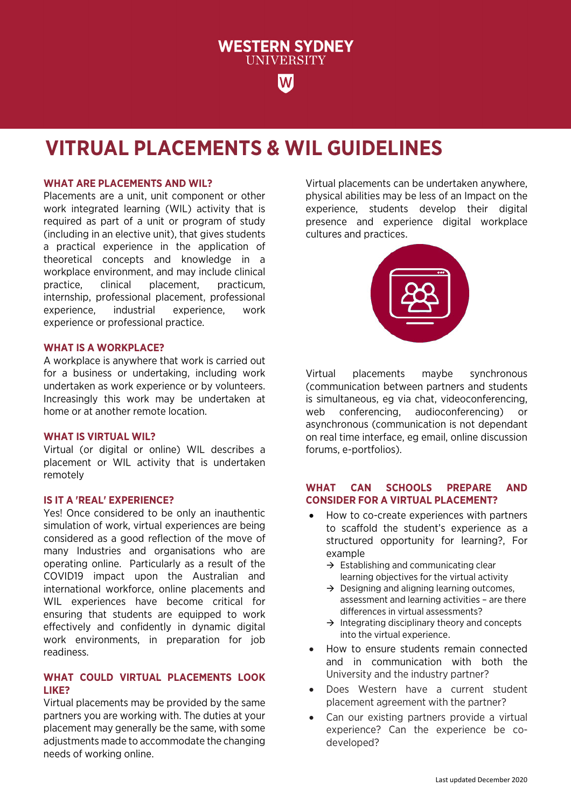

**WESTERN SYDNEY UNIVERSITY** 

W

### **WHAT ARE PLACEMENTS AND WIL?**

Placements are a unit, unit component or other work integrated learning (WIL) activity that is required as part of a unit or program of study (including in an elective unit), that gives students a practical experience in the application of theoretical concepts and knowledge in a workplace environment, and may include clinical practice, clinical placement, practicum, internship, professional placement, professional experience, industrial experience, work experience or professional practice.

#### **WHAT IS A WORKPLACE?**

A workplace is anywhere that work is carried out for a business or undertaking, including work undertaken as work experience or by volunteers. Increasingly this work may be undertaken at home or at another remote location.

### **WHAT IS VIRTUAL WIL?**

Virtual (or digital or online) WIL describes a placement or WIL activity that is undertaken remotely

## **IS IT A 'REAL' EXPERIENCE?**

Yes! Once considered to be only an inauthentic simulation of work, virtual experiences are being considered as a good reflection of the move of many Industries and organisations who are operating online. Particularly as a result of the COVID19 impact upon the Australian and international workforce, online placements and WIL experiences have become critical for ensuring that students are equipped to work effectively and confidently in dynamic digital work environments, in preparation for job readiness.

# **WHAT COULD VIRTUAL PLACEMENTS LOOK LIKE?**

Virtual placements may be provided by the same partners you are working with. The duties at your placement may generally be the same, with some adjustments made to accommodate the changing needs of working online.

Virtual placements can be undertaken anywhere, physical abilities may be less of an Impact on the experience, students develop their digital presence and experience digital workplace cultures and practices.



Virtual placements maybe synchronous (communication between partners and students is simultaneous, eg via chat, videoconferencing, web conferencing, audioconferencing) or asynchronous (communication is not dependant on real time interface, eg email, online discussion forums, e-portfolios).

## **WHAT CAN SCHOOLS PREPARE AND CONSIDER FOR A VIRTUAL PLACEMENT?**

- How to co-create experiences with partners to scaffold the student's experience as a structured opportunity for learning?, For example
	- $\rightarrow$  Establishing and communicating clear learning objectives for the virtual activity
	- $\rightarrow$  Designing and aligning learning outcomes. assessment and learning activities – are there differences in virtual assessments?
	- $\rightarrow$  Integrating disciplinary theory and concepts into the virtual experience.
- How to ensure students remain connected and in communication with both the University and the industry partner?
- Does Western have a current student placement agreement with the partner?
- Can our existing partners provide a virtual experience? Can the experience be codeveloped?